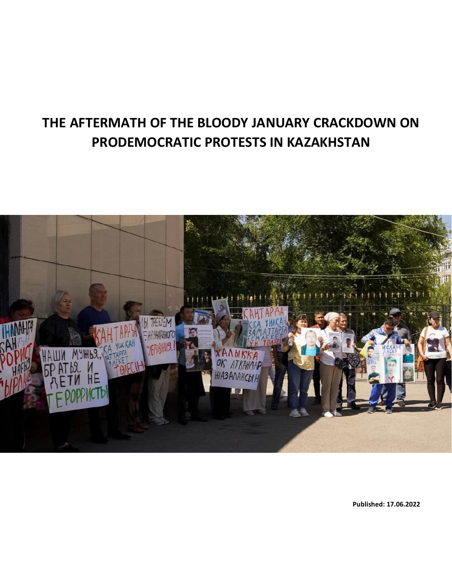# **THE AFTERMATH OF THE BLOODY JANUARY CRACKDOWN ON PRODEMOCRATIC PROTESTS IN KAZAKHSTAN**



**Published: 17.06.2022**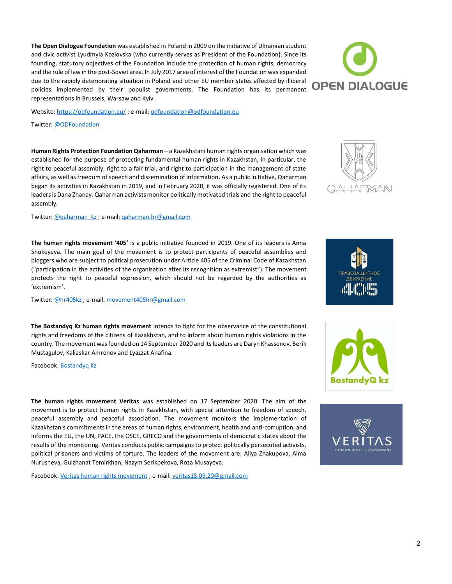**The Open Dialogue Foundation** was established in Poland in 2009 on the initiative of Ukrainian student and civic activist Lyudmyla Kozlovska (who currently serves as President of the Foundation). Since its founding, statutory objectives of the Foundation include the protection of human rights, democracy and the rule of law in the post-Soviet area. In July 2017 area of interest of the Foundation was expanded due to the rapidly deteriorating situation in Poland and other EU member states affected by illiberal policies implemented by their populist governments. The Foundation has its permanent representations in Brussels, Warsaw and Kyiv.



Website: [https://odfoundation.eu/](about:blank); e-mail[: odfoundation@odfoundation.eu](about:blank)

Twitter[: @ODFoundation](about:blank)

**Human Rights Protection Foundation Qaharman** – a Kazakhstani human rights organisation which was established for the purpose of protecting fundamental human rights in Kazakhstan, in particular, the right to peaceful assembly, right to a fair trial, and right to participation in the management of state affairs, as well as freedom of speech and dissemination of information. As a public initiative, Qaharman began its activities in Kazakhstan in 2019, and in February 2020, it was officially registered. One of its leaders is Dana Zhanay. Qaharman activists monitor politically motivated trials and the right to peaceful assembly.

Twitter: [@qaharman\\_kz](about:blank) ; e-mail[: qaharman.hr@gmail.com](about:blank)

**The human rights movement '405'** is a public initiative founded in 2019. One of its leaders is Anna Shukeyeva. The main goal of the movement is to protect participants of peaceful assemblies and bloggers who are subject to political prosecution under Article 405 of the Criminal Code of Kazakhstan ("participation in the activities of the organisation after its recognition as extremist"). The movement protects the right to peaceful expression, which should not be regarded by the authorities as 'extremism'.

Twitter[: @hr405kz](about:blank) ; e-mail[: movement405hr@gmail.com](about:blank)

**The Bostandyq Kz human rights movement** intends to fight for the observance of the constitutional rights and freedoms of the citizens of Kazakhstan, and to inform about human rights violations in the country. The movement was founded on 14 September 2020 and its leaders are Daryn Khassenov, Berik Mustagulov, Kaliaskar Amrenov and Lyazzat Anafina.

Facebook[: Bostandyq Kz](about:blank)

**The human rights movement Veritas** was established on 17 September 2020. The aim of the movement is to protect human rights in Kazakhstan, with special attention to freedom of speech, peaceful assembly and peaceful association. The movement monitors the implementation of Kazakhstan's commitments in the areas of human rights, environment, health and anti-corruption, and informs the EU, the UN, PACE, the OSCE, GRECO and the governments of democratic states about the results of the monitoring. Veritas conducts public campaigns to protect politically persecuted activists, political prisoners and victims of torture. The leaders of the movement are: Aliya Zhakupova, Alma Nurusheva, Gulzhanat Temirkhan, Nazym Serikpekova, Roza Musayeva.

Facebook[: Veritas human rights movement](about:blank) ; e-mail[: veritas15.09.20@gmail.com](about:blank)







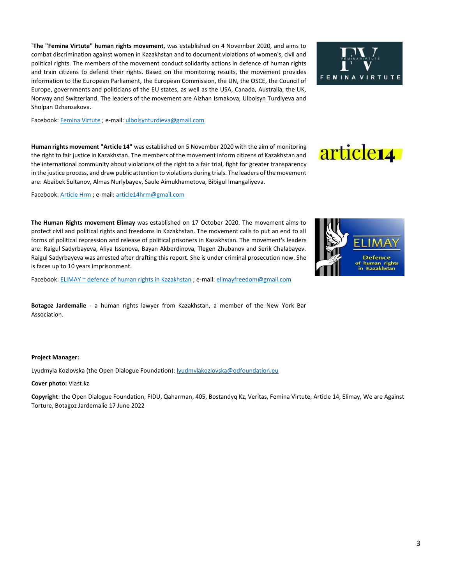**`The "Femina Virtute" human rights movement**, was established on 4 November 2020, and aims to combat discrimination against women in Kazakhstan and to document violations of women's, civil and political rights. The members of the movement conduct solidarity actions in defence of human rights and train citizens to defend their rights. Based on the monitoring results, the movement provides information to the European Parliament, the European Commission, the UN, the OSCE, the Council of Europe, governments and politicians of the EU states, as well as the USA, Canada, Australia, the UK, Norway and Switzerland. The leaders of the movement are Aizhan Ismakova, Ulbolsyn Turdiyeva and Sholpan Dzhanzakova.

Facebook[: Femina Virtute](about:blank) ; e-mail: [ulbolsynturdieva@gmail.com](about:blank)

**Human rights movement "Article 14"** was established on 5 November 2020 with the aim of monitoring the right to fair justice in Kazakhstan. The members of the movement inform citizens of Kazakhstan and the international community about violations of the right to a fair trial, fight for greater transparency in the justice process, and draw public attention to violations during trials. The leaders of the movement are: Abaibek Sultanov, Almas Nurlybayev, Saule Aimukhametova, Bibigul Imangaliyeva.

Facebook[: Article Hrm](about:blank) ; e-mail[: article14hrm@gmail.com](about:blank)

**The Human Rights movement Elimay** was established on 17 October 2020. The movement aims to protect civil and political rights and freedoms in Kazakhstan. The movement calls to put an end to all forms of political repression and release of political prisoners in Kazakhstan. The movement's leaders are: Raigul Sadyrbayeva, Aliya Issenova, Bayan Akberdinova, Tlegen Zhubanov and Serik Chalabayev. Raigul Sadyrbayeva was arrested after drafting this report. She is under criminal prosecution now. She is faces up to 10 years imprisonment.

Facebook: [ELIMAY ~ defence of human rights in Kazakhstan](about:blank) ; e-mail[: elimayfreedom@gmail.com](about:blank)

**Botagoz Jardemalie** - a human rights lawyer from Kazakhstan, a member of the New York Bar Association.

#### **Project Manager:**

Lyudmyla Kozlovska (the Open Dialogue Foundation)[: lyudmylakozlovska@odfoundation.eu](about:blank)

**Cover photo:** Vlast.kz

**Copyright**: the Open Dialogue Foundation, FIDU, Qaharman, 405, Bostandyq Kz, Veritas, Femina Virtute, Article 14, Elimay, We are Against Torture, Botagoz Jardemalie 17 June 2022





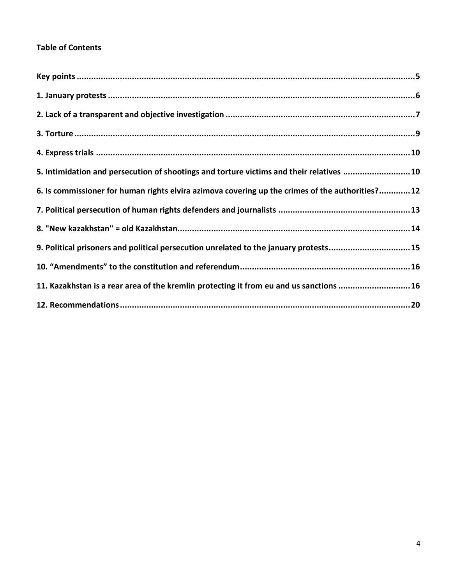## **Table of Contents**

| 5. Intimidation and persecution of shootings and torture victims and their relatives 10         |  |
|-------------------------------------------------------------------------------------------------|--|
| 6. Is commissioner for human rights elvira azimova covering up the crimes of the authorities?12 |  |
|                                                                                                 |  |
|                                                                                                 |  |
| 9. Political prisoners and political persecution unrelated to the january protests15            |  |
|                                                                                                 |  |
| 11. Kazakhstan is a rear area of the kremlin protecting it from eu and us sanctions 16          |  |
|                                                                                                 |  |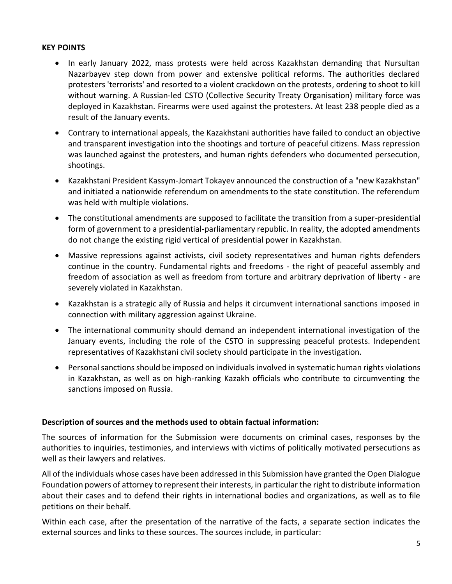## <span id="page-4-0"></span>**KEY POINTS**

- In early January 2022, mass protests were held across Kazakhstan demanding that Nursultan Nazarbayev step down from power and extensive political reforms. The authorities declared protesters 'terrorists' and resorted to a violent crackdown on the protests, ordering to shoot to kill without warning. A Russian-led CSTO (Collective Security Treaty Organisation) military force was deployed in Kazakhstan. Firearms were used against the protesters. At least 238 people died as a result of the January events.
- Contrary to international appeals, the Kazakhstani authorities have failed to conduct an objective and transparent investigation into the shootings and torture of peaceful citizens. Mass repression was launched against the protesters, and human rights defenders who documented persecution, shootings.
- Kazakhstani President Kassym-Jomart Tokayev announced the construction of a "new Kazakhstan" and initiated a nationwide referendum on amendments to the state constitution. The referendum was held with multiple violations.
- The constitutional amendments are supposed to facilitate the transition from a super-presidential form of government to a presidential-parliamentary republic. In reality, the adopted amendments do not change the existing rigid vertical of presidential power in Kazakhstan.
- Massive repressions against activists, civil society representatives and human rights defenders continue in the country. Fundamental rights and freedoms - the right of peaceful assembly and freedom of association as well as freedom from torture and arbitrary deprivation of liberty - are severely violated in Kazakhstan.
- Kazakhstan is a strategic ally of Russia and helps it circumvent international sanctions imposed in connection with military aggression against Ukraine.
- The international community should demand an independent international investigation of the January events, including the role of the CSTO in suppressing peaceful protests. Independent representatives of Kazakhstani civil society should participate in the investigation.
- Personal sanctions should be imposed on individuals involved in systematic human rights violations in Kazakhstan, as well as on high-ranking Kazakh officials who contribute to circumventing the sanctions imposed on Russia.

## **Description of sources and the methods used to obtain factual information:**

The sources of information for the Submission were documents on criminal cases, responses by the authorities to inquiries, testimonies, and interviews with victims of politically motivated persecutions as well as their lawyers and relatives.

All of the individuals whose cases have been addressed in this Submission have granted the Open Dialogue Foundation powers of attorney to represent their interests, in particular the right to distribute information about their cases and to defend their rights in international bodies and organizations, as well as to file petitions on their behalf.

Within each case, after the presentation of the narrative of the facts, a separate section indicates the external sources and links to these sources. The sources include, in particular: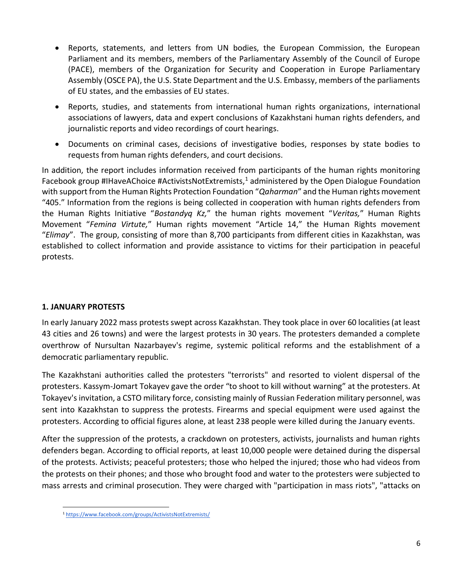- Reports, statements, and letters from UN bodies, the European Commission, the European Parliament and its members, members of the Parliamentary Assembly of the Council of Europe (PACE), members of the Organization for Security and Cooperation in Europe Parliamentary Assembly (OSCE PA), the U.S. State Department and the U.S. Embassy, members of the parliaments of EU states, and the embassies of EU states.
- Reports, studies, and statements from international human rights organizations, international associations of lawyers, data and expert conclusions of Kazakhstani human rights defenders, and journalistic reports and video recordings of court hearings.
- Documents on criminal cases, decisions of investigative bodies, responses by state bodies to requests from human rights defenders, and court decisions.

In addition, the report includes information received from participants of the human rights monitoring Facebook group #IHaveAChoice #ActivistsNotExtremists, $1$  administered by the Open Dialogue Foundation with support from the Human Rights Protection Foundation "*Qaharman*" and the Human rights movement "405." Information from the regions is being collected in cooperation with human rights defenders from the Human Rights Initiative "*Bostandyq Kz,*" the human rights movement "*Veritas,*" Human Rights Movement "*Femina Virtute,*" Human rights movement "Article 14," the Human Rights movement "*Elimay*". The group, consisting of more than 8,700 participants from different cities in Kazakhstan, was established to collect information and provide assistance to victims for their participation in peaceful protests.

## <span id="page-5-0"></span>**1. JANUARY PROTESTS**

In early January 2022 mass protests swept across Kazakhstan. They took place in over 60 localities (at least 43 cities and 26 towns) and were the largest protests in 30 years. The protesters demanded a complete overthrow of Nursultan Nazarbayev's regime, systemic political reforms and the establishment of a democratic parliamentary republic.

The Kazakhstani authorities called the protesters "terrorists" and resorted to violent dispersal of the protesters. Kassym-Jomart Tokayev gave the order "to shoot to kill without warning" at the protesters. At Tokayev's invitation, a CSTO military force, consisting mainly of Russian Federation military personnel, was sent into Kazakhstan to suppress the protests. Firearms and special equipment were used against the protesters. According to official figures alone, at least 238 people were killed during the January events.

After the suppression of the protests, a crackdown on protesters, activists, journalists and human rights defenders began. According to official reports, at least 10,000 people were detained during the dispersal of the protests. Activists; peaceful protesters; those who helped the injured; those who had videos from the protests on their phones; and those who brought food and water to the protesters were subjected to mass arrests and criminal prosecution. They were charged with "participation in mass riots", "attacks on

<sup>1</sup> <https://www.facebook.com/groups/ActivistsNotExtremists/>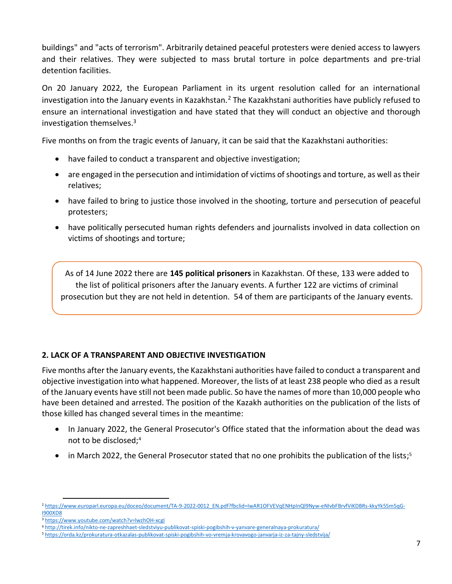buildings" and "acts of terrorism". Arbitrarily detained peaceful protesters were denied access to lawyers and their relatives. They were subjected to mass brutal torture in polce departments and pre-trial detention facilities.

On 20 January 2022, the European Parliament in its urgent resolution called for an international investigation into the January events in Kazakhstan.<sup>2</sup> The Kazakhstani authorities have publicly refused to ensure an international investigation and have stated that they will conduct an objective and thorough investigation themselves. $3$ 

Five months on from the tragic events of January, it can be said that the Kazakhstani authorities:

- have failed to conduct a transparent and objective investigation;
- are engaged in the persecution and intimidation of victims of shootings and torture, as well as their relatives;
- have failed to bring to justice those involved in the shooting, torture and persecution of peaceful protesters;
- have politically persecuted human rights defenders and journalists involved in data collection on victims of shootings and torture;

As of 14 June 2022 there are **145 political prisoners** in Kazakhstan. Of these, 133 were added to the list of political prisoners after the January events. A further 122 are victims of criminal prosecution but they are not held in detention. 54 of them are participants of the January events.

## <span id="page-6-0"></span>**2. LACK OF A TRANSPARENT AND OBJECTIVE INVESTIGATION**

Five months after the January events, the Kazakhstani authorities have failed to conduct a transparent and objective investigation into what happened. Moreover, the lists of at least 238 people who died as a result of the January events have still not been made public. So have the names of more than 10,000 people who have been detained and arrested. The position of the Kazakh authorities on the publication of the lists of those killed has changed several times in the meantime:

- In January 2022, the General Prosecutor's Office stated that the information about the dead was not to be disclosed; 4
- in March 2022, the General Prosecutor stated that no one prohibits the publication of the lists;<sup>5</sup>

<sup>2</sup> [https://www.europarl.europa.eu/doceo/document/TA-9-2022-0012\\_EN.pdf?fbclid=IwAR1OFVEVqENHpInQl9Nyw-eNIvbFBrvfViKDBRs-kkyYk5Sm5qG-](https://www.europarl.europa.eu/doceo/document/TA-9-2022-0012_EN.pdf?fbclid=IwAR1OFVEVqENHpInQl9Nyw-eNIvbFBrvfViKDBRs-kkyYk5Sm5qG-I900XD8)[I900XD8](https://www.europarl.europa.eu/doceo/document/TA-9-2022-0012_EN.pdf?fbclid=IwAR1OFVEVqENHpInQl9Nyw-eNIvbFBrvfViKDBRs-kkyYk5Sm5qG-I900XD8)

<sup>3</sup> <https://www.youtube.com/watch?v=lwzhOH-xcgI>

<sup>4</sup> <http://tirek.info/nikto-ne-zapreshhaet-sledstviyu-publikovat-spiski-pogibshih-v-yanvare-generalnaya-prokuratura/>

<sup>5</sup> <https://orda.kz/prokuratura-otkazalas-publikovat-spiski-pogibshih-vo-vremja-krovavogo-janvarja-iz-za-tajny-sledstvija/>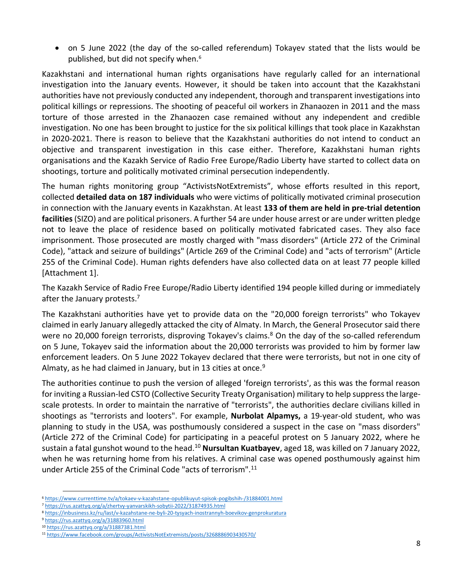• on 5 June 2022 (the day of the so-called referendum) Tokayev stated that the lists would be published, but did not specify when. 6

Kazakhstani and international human rights organisations have regularly called for an international investigation into the January events. However, it should be taken into account that the Kazakhstani authorities have not previously conducted any independent, thorough and transparent investigations into political killings or repressions. The shooting of peaceful oil workers in Zhanaozen in 2011 and the mass torture of those arrested in the Zhanaozen case remained without any independent and credible investigation. No one has been brought to justice for the six political killings that took place in Kazakhstan in 2020-2021. There is reason to believe that the Kazakhstani authorities do not intend to conduct an objective and transparent investigation in this case either. Therefore, Kazakhstani human rights organisations and the Kazakh Service of Radio Free Europe/Radio Liberty have started to collect data on shootings, torture and politically motivated criminal persecution independently.

The human rights monitoring group "ActivistsNotExtremists", whose efforts resulted in this report, collected **detailed data on 187 individuals** who were victims of politically motivated criminal prosecution in connection with the January events in Kazakhstan. At least **133 of them are held in pre-trial detention facilities**(SIZO) and are political prisoners. A further 54 are under house arrest or are under written pledge not to leave the place of residence based on politically motivated fabricated cases. They also face imprisonment. Those prosecuted are mostly charged with "mass disorders" (Article 272 of the Criminal Code), "attack and seizure of buildings" (Article 269 of the Criminal Code) and "acts of terrorism" (Article 255 of the Criminal Code). Human rights defenders have also collected data on at least 77 people killed [Attachment 1].

The Kazakh Service of Radio Free Europe/Radio Liberty identified 194 people killed during or immediately after the January protests.<sup>7</sup>

The Kazakhstani authorities have yet to provide data on the "20,000 foreign terrorists" who Tokayev claimed in early January allegedly attacked the city of Almaty. In March, the General Prosecutor said there were no 20,000 foreign terrorists, disproving Tokayev's claims.<sup>8</sup> On the day of the so-called referendum on 5 June, Tokayev said the information about the 20,000 terrorists was provided to him by former law enforcement leaders. On 5 June 2022 Tokayev declared that there were terrorists, but not in one city of Almaty, as he had claimed in January, but in 13 cities at once.<sup>9</sup>

The authorities continue to push the version of alleged 'foreign terrorists', as this was the formal reason for inviting a Russian-led CSTO (Collective Security Treaty Organisation) military to help suppress the largescale protests. In order to maintain the narrative of "terrorists", the authorities declare civilians killed in shootings as "terrorists and looters". For example, **Nurbolat Alpamys,** a 19-year-old student, who was planning to study in the USA, was posthumously considered a suspect in the case on "mass disorders" (Article 272 of the Criminal Code) for participating in a peaceful protest on 5 January 2022, where he sustain a fatal gunshot wound to the head.<sup>10</sup> **Nursultan Kuatbayev**, aged 18, was killed on 7 January 2022, when he was returning home from his relatives. A criminal case was opened posthumously against him under Article 255 of the Criminal Code "acts of terrorism".<sup>11</sup>

<sup>6</sup> <https://www.currenttime.tv/a/tokaev-v-kazahstane-opublikuyut-spisok-pogibshih-/31884001.html>

<sup>7</sup> <https://rus.azattyq.org/a/zhertvy-yanvarskikh-sobytii-2022/31874935.html>

<sup>8</sup> <https://inbusiness.kz/ru/last/v-kazahstane-ne-byli-20-tysyach-inostrannyh-boevikov-genprokuratura>

<sup>9</sup> <https://rus.azattyq.org/a/31883960.html>

<sup>10</sup> <https://rus.azattyq.org/a/31887381.html>

<sup>11</sup> <https://www.facebook.com/groups/ActivistsNotExtremists/posts/3268886903430570/>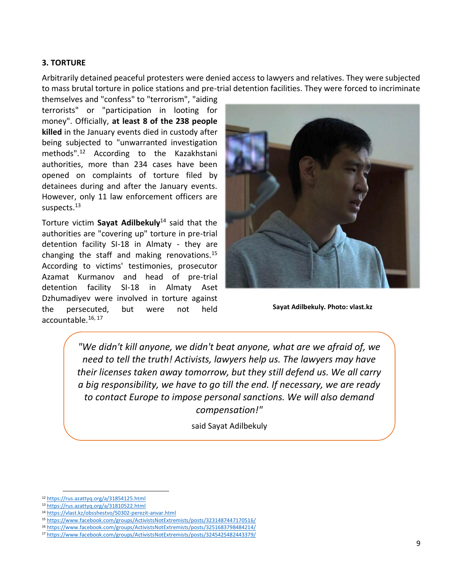## <span id="page-8-0"></span>**3. TORTURE**

Arbitrarily detained peaceful protesters were denied access to lawyers and relatives. They were subjected to mass brutal torture in police stations and pre-trial detention facilities. They were forced to incriminate

themselves and "confess" to "terrorism", "aiding terrorists" or "participation in looting for money". Officially, **at least 8 of the 238 people killed** in the January events died in custody after being subjected to "unwarranted investigation methods".<sup>12</sup> According to the Kazakhstani authorities, more than 234 cases have been opened on complaints of torture filed by detainees during and after the January events. However, only 11 law enforcement officers are suspects.<sup>13</sup>

Torture victim **Sayat Adilbekuly**<sup>14</sup> said that the authorities are "covering up" torture in pre-trial detention facility SI-18 in Almaty - they are changing the staff and making renovations. $15$ According to victims' testimonies, prosecutor Azamat Kurmanov and head of pre-trial detention facility SI-18 in Almaty Aset Dzhumadiyev were involved in torture against the persecuted, but were not held accountable.16, 17



**Sayat Adilbekuly. Photo: vlast.kz**

*"We didn't kill anyone, we didn't beat anyone, what are we afraid of, we need to tell the truth! Activists, lawyers help us. The lawyers may have their licenses taken away tomorrow, but they still defend us. We all carry a big responsibility, we have to go till the end. If necessary, we are ready to contact Europe to impose personal sanctions. We will also demand compensation!"*

said Sayat Adilbekuly

<sup>12</sup> <https://rus.azattyq.org/a/31854125.html>

<sup>13</sup> <https://rus.azattyq.org/a/31810522.html>

<sup>14</sup> <https://vlast.kz/obsshestvo/50302-perezit-anvar.html>

<sup>15</sup> <https://www.facebook.com/groups/ActivistsNotExtremists/posts/3231487447170516/>

<sup>16</sup> <https://www.facebook.com/groups/ActivistsNotExtremists/posts/3251683798484214/>

<sup>17</sup> <https://www.facebook.com/groups/ActivistsNotExtremists/posts/3245425482443379/>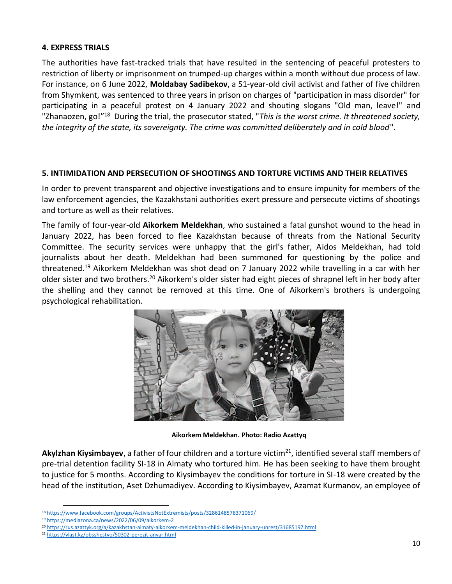#### <span id="page-9-0"></span>**4. EXPRESS TRIALS**

The authorities have fast-tracked trials that have resulted in the sentencing of peaceful protesters to restriction of liberty or imprisonment on trumped-up charges within a month without due process of law. For instance, on 6 June 2022, **Moldabay Sadibekov**, a 51-year-old civil activist and father of five children from Shymkent, was sentenced to three years in prison on charges of "participation in mass disorder" for participating in a peaceful protest on 4 January 2022 and shouting slogans "Old man, leave!" and "Zhanaozen, go!"<sup>18</sup> During the trial, the prosecutor stated, "This is the worst crime. It threatened society, *the integrity of the state, its sovereignty. The crime was committed deliberately and in cold blood*".

## <span id="page-9-1"></span>**5. INTIMIDATION AND PERSECUTION OF SHOOTINGS AND TORTURE VICTIMS AND THEIR RELATIVES**

In order to prevent transparent and objective investigations and to ensure impunity for members of the law enforcement agencies, the Kazakhstani authorities exert pressure and persecute victims of shootings and torture as well as their relatives.

The family of four-year-old **Aikorkem Meldekhan**, who sustained a fatal gunshot wound to the head in January 2022, has been forced to flee Kazakhstan because of threats from the National Security Committee. The security services were unhappy that the girl's father, Aidos Meldekhan, had told journalists about her death. Meldekhan had been summoned for questioning by the police and threatened.<sup>19</sup> Aikorkem Meldekhan was shot dead on 7 January 2022 while travelling in a car with her older sister and two brothers.<sup>20</sup> Aikorkem's older sister had eight pieces of shrapnel left in her body after the shelling and they cannot be removed at this time. One of Aikorkem's brothers is undergoing psychological rehabilitation.



**Aikorkem Meldekhan. Photo: Radio Azattyq**

Akylzhan Kiysimbayev, a father of four children and a torture victim<sup>21</sup>, identified several staff members of pre-trial detention facility SI-18 in Almaty who tortured him. He has been seeking to have them brought to justice for 5 months. According to Kiysimbayev the conditions for torture in SI-18 were created by the head of the institution, Aset Dzhumadiyev. According to Kiysimbayev, Azamat Kurmanov, an employee of

<sup>18</sup> <https://www.facebook.com/groups/ActivistsNotExtremists/posts/3286148578371069/>

<sup>19</sup> <https://mediazona.ca/news/2022/06/09/aikorkem-2>

<sup>20</sup> <https://rus.azattyk.org/a/kazakhstan-almaty-aikorkem-meldekhan-child-killed-in-january-unrest/31685197.html>

<sup>21</sup> <https://vlast.kz/obsshestvo/50302-perezit-anvar.html>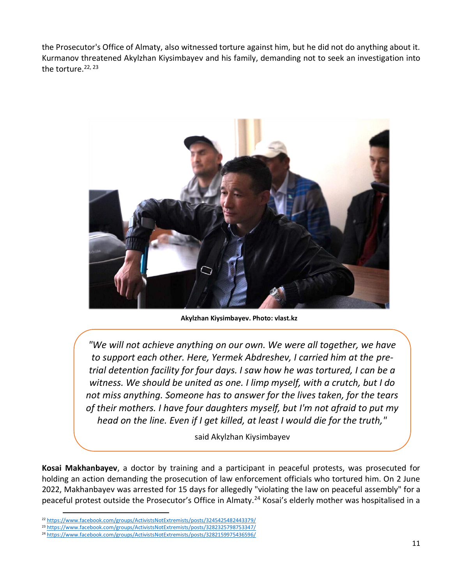the Prosecutor's Office of Almaty, also witnessed torture against him, but he did not do anything about it. Kurmanov threatened Akylzhan Kiysimbayev and his family, demanding not to seek an investigation into the torture.  $22, 23$ 



**Akylzhan Kiysimbayev. Photo: vlast.kz**

*"We will not achieve anything on our own. We were all together, we have to support each other. Here, Yermek Abdreshev, I carried him at the pretrial detention facility for four days. I saw how he was tortured, I can be a witness. We should be united as one. I limp myself, with a crutch, but I do not miss anything. Someone has to answer for the lives taken, for the tears of their mothers. I have four daughters myself, but I'm not afraid to put my head on the line. Even if I get killed, at least I would die for the truth,"*

said Akylzhan Kiysimbayev

**Kosai Makhanbayev**, a doctor by training and a participant in peaceful protests, was prosecuted for holding an action demanding the prosecution of law enforcement officials who tortured him. On 2 June 2022, Makhanbayev was arrested for 15 days for allegedly "violating the law on peaceful assembly" for a peaceful protest outside the Prosecutor's Office in Almaty.<sup>24</sup> Kosai's elderly mother was hospitalised in a

<sup>22</sup> <https://www.facebook.com/groups/ActivistsNotExtremists/posts/3245425482443379/>

<sup>&</sup>lt;sup>23</sup> <https://www.facebook.com/groups/ActivistsNotExtremists/posts/3282325798753347/>

<sup>24</sup> <https://www.facebook.com/groups/ActivistsNotExtremists/posts/3282159975436596/>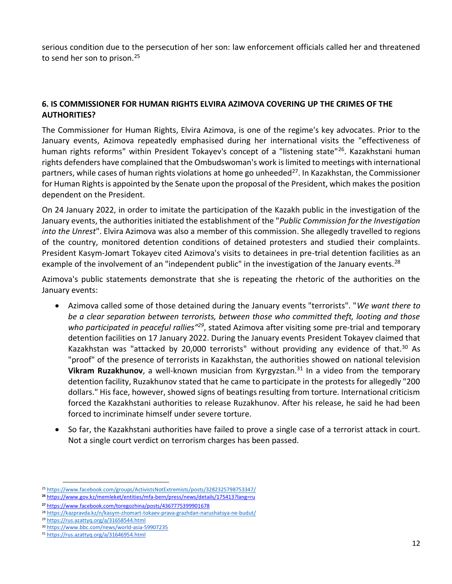serious condition due to the persecution of her son: law enforcement officials called her and threatened to send her son to prison.<sup>25</sup>

## <span id="page-11-0"></span>**6. IS COMMISSIONER FOR HUMAN RIGHTS ELVIRA AZIMOVA COVERING UP THE CRIMES OF THE AUTHORITIES?**

The Commissioner for Human Rights, Elvira Azimova, is one of the regime's key advocates. Prior to the January events, Azimova repeatedly emphasised during her international visits the "effectiveness of human rights reforms" within President Tokayev's concept of a "listening state"<sup>26</sup>. Kazakhstani human rights defenders have complained that the Ombudswoman's work is limited to meetings with international partners, while cases of human rights violations at home go unheeded<sup>27</sup>. In Kazakhstan, the Commissioner for Human Rights is appointed by the Senate upon the proposal of the President, which makes the position dependent on the President.

On 24 January 2022, in order to imitate the participation of the Kazakh public in the investigation of the January events, the authorities initiated the establishment of the "*Public Commission for the Investigation into the Unrest*". Elvira Azimova was also a member of this commission. She allegedly travelled to regions of the country, monitored detention conditions of detained protesters and studied their complaints. President Kasym-Jomart Tokayev cited Azimova's visits to detainees in pre-trial detention facilities as an example of the involvement of an "independent public" in the investigation of the January events.<sup>28</sup>

Azimova's public statements demonstrate that she is repeating the rhetoric of the authorities on the January events:

- Azimova called some of those detained during the January events "terrorists". "*We want there to be a clear separation between terrorists, between those who committed theft, looting and those who participated in peaceful rallies"<sup>29</sup>*, stated Azimova after visiting some pre-trial and temporary detention facilities on 17 January 2022. During the January events President Tokayev claimed that Kazakhstan was "attacked by 20,000 terrorists" without providing any evidence of that.<sup>30</sup> As "proof" of the presence of terrorists in Kazakhstan, the authorities showed on national television **Vikram Ruzakhunov**, a well-known musician from Kyrgyzstan.<sup>31</sup> In a video from the temporary detention facility, Ruzakhunov stated that he came to participate in the protests for allegedly "200 dollars." His face, however, showed signs of beatings resulting from torture. International criticism forced the Kazakhstani authorities to release Ruzakhunov. After his release, he said he had been forced to incriminate himself under severe torture.
- So far, the Kazakhstani authorities have failed to prove a single case of a terrorist attack in court. Not a single court verdict on terrorism charges has been passed.

<sup>25</sup> <https://www.facebook.com/groups/ActivistsNotExtremists/posts/3282325798753347/>

**<sup>26</sup>** <https://www.gov.kz/memleket/entities/mfa-bern/press/news/details/175413?lang=ru>

**<sup>27</sup>** <https://www.facebook.com/toregozhina/posts/4367775399901678>

<sup>28</sup> <https://kazpravda.kz/n/kasym-zhomart-tokaev-prava-grazhdan-narushatsya-ne-budut/>

<sup>29</sup> <https://rus.azattyq.org/a/31658544.html>

<sup>30</sup> <https://www.bbc.com/news/world-asia-59907235>

<sup>31</sup> <https://rus.azattyq.org/a/31646954.html>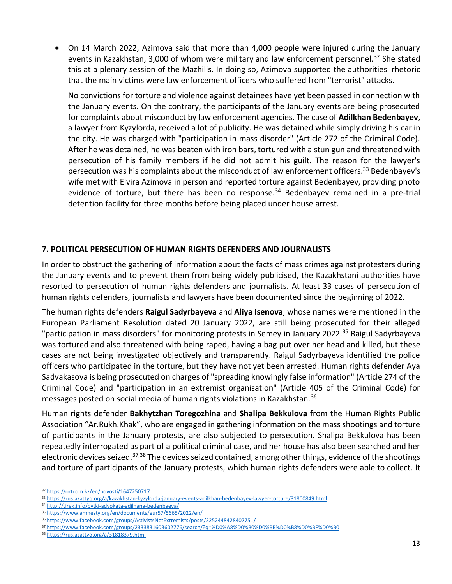• On 14 March 2022, Azimova said that more than 4,000 people were injured during the January events in Kazakhstan, 3,000 of whom were military and law enforcement personnel.<sup>32</sup> She stated this at a plenary session of the Mazhilis. In doing so, Azimova supported the authorities' rhetoric that the main victims were law enforcement officers who suffered from "terrorist" attacks.

No convictions for torture and violence against detainees have yet been passed in connection with the January events. On the contrary, the participants of the January events are being prosecuted for complaints about misconduct by law enforcement agencies. The case of **Adilkhan Bedenbayev**, a lawyer from Kyzylorda, received a lot of publicity. He was detained while simply driving his car in the city. He was charged with "participation in mass disorder" (Article 272 of the Criminal Code). After he was detained, he was beaten with iron bars, tortured with a stun gun and threatened with persecution of his family members if he did not admit his guilt. The reason for the lawyer's persecution was his complaints about the misconduct of law enforcement officers.<sup>33</sup> Bedenbayev's wife met with Elvira Azimova in person and reported torture against Bedenbayev, providing photo evidence of torture, but there has been no response.<sup>34</sup> Bedenbayev remained in a pre-trial detention facility for three months before being placed under house arrest.

## <span id="page-12-0"></span>**7. POLITICAL PERSECUTION OF HUMAN RIGHTS DEFENDERS AND JOURNALISTS**

In order to obstruct the gathering of information about the facts of mass crimes against protesters during the January events and to prevent them from being widely publicised, the Kazakhstani authorities have resorted to persecution of human rights defenders and journalists. At least 33 cases of persecution of human rights defenders, journalists and lawyers have been documented since the beginning of 2022.

The human rights defenders **Raigul Sadyrbayeva** and **Aliya Isenova**, whose names were mentioned in the European Parliament Resolution dated 20 January 2022, are still being prosecuted for their alleged "participation in mass disorders" for monitoring protests in Semey in January 2022.<sup>35</sup> Raigul Sadyrbayeva was tortured and also threatened with being raped, having a bag put over her head and killed, but these cases are not being investigated objectively and transparently. Raigul Sadyrbayeva identified the police officers who participated in the torture, but they have not yet been arrested. Human rights defender Aya Sadvakasova is being prosecuted on charges of "spreading knowingly false information" (Article 274 of the Criminal Code) and "participation in an extremist organisation" (Article 405 of the Criminal Code) for messages posted on social media of human rights violations in Kazakhstan.<sup>36</sup>

Human rights defender **Bakhytzhan Toregozhina** and **Shalipa Bekkulova** from the Human Rights Public Association "Ar.Rukh.Khak", who are engaged in gathering information on the mass shootings and torture of participants in the January protests, are also subjected to persecution. Shalipa Bekkulova has been repeatedly interrogated as part of a political criminal case, and her house has also been searched and her electronic devices seized.<sup>37,38</sup> The devices seized contained, among other things, evidence of the shootings and torture of participants of the January protests, which human rights defenders were able to collect. It

<sup>32</sup> <https://ortcom.kz/en/novosti/1647250717>

<sup>33</sup> <https://rus.azattyq.org/a/kazakhstan-kyzylorda-january-events-adilkhan-bedenbayev-lawyer-torture/31800849.html>

<sup>34</sup> <http://tirek.info/pytki-advokata-adilhana-bedenbaeva/>

<sup>35</sup> <https://www.amnesty.org/en/documents/eur57/5665/2022/en/>

<sup>36</sup> <https://www.facebook.com/groups/ActivistsNotExtremists/posts/3252448428407751/>

<sup>37</sup> <https://www.facebook.com/groups/2333831603602776/search/?q=%D0%A8%D0%B0%D0%BB%D0%B8%D0%BF%D0%B0>

<sup>38</sup> <https://rus.azattyq.org/a/31818379.html>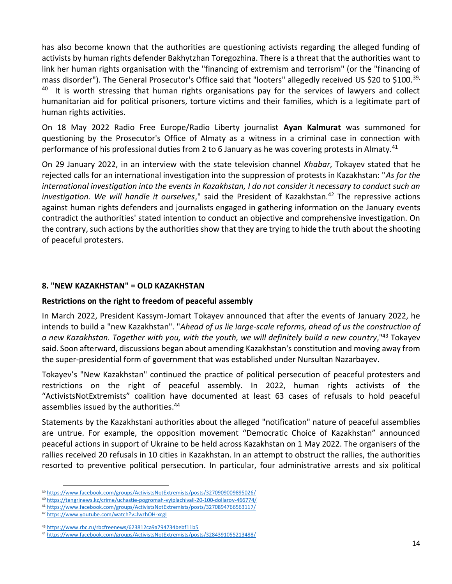has also become known that the authorities are questioning activists regarding the alleged funding of activists by human rights defender Bakhytzhan Toregozhina. There is a threat that the authorities want to link her human rights organisation with the "financing of extremism and terrorism" (or the "financing of mass disorder"). The General Prosecutor's Office said that "looters" allegedly received US \$20 to \$100.<sup>39,</sup> 40 It is worth stressing that human rights organisations pay for the services of lawyers and collect humanitarian aid for political prisoners, torture victims and their families, which is a legitimate part of human rights activities.

On 18 May 2022 Radio Free Europe/Radio Liberty journalist **Ayan Kalmurat** was summoned for questioning by the Prosecutor's Office of Almaty as a witness in a criminal case in connection with performance of his professional duties from 2 to 6 January as he was covering protests in Almaty.<sup>41</sup>

On 29 January 2022, in an interview with the state television channel *Khabar*, Tokayev stated that he rejected calls for an international investigation into the suppression of protests in Kazakhstan: "*As for the international investigation into the events in Kazakhstan, I do not consider it necessary to conduct such an*  investigation. We will handle it ourselves," said the President of Kazakhstan.<sup>42</sup> The repressive actions against human rights defenders and journalists engaged in gathering information on the January events contradict the authorities' stated intention to conduct an objective and comprehensive investigation. On the contrary, such actions by the authorities show that they are trying to hide the truth about the shooting of peaceful protesters.

## <span id="page-13-0"></span>**8. "NEW KAZAKHSTAN" = OLD KAZAKHSTAN**

## **Restrictions on the right to freedom of peaceful assembly**

In March 2022, President Kassym-Jomart Tokayev announced that after the events of January 2022, he intends to build a "new Kazakhstan". "*Ahead of us lie large-scale reforms, ahead of us the construction of a new Kazakhstan. Together with you, with the youth, we will definitely build a new country*,"<sup>43</sup> Tokayev said. Soon afterward, discussions began about amending Kazakhstan's constitution and moving away from the super-presidential form of government that was established under Nursultan Nazarbayev.

Tokayev's "New Kazakhstan" continued the practice of political persecution of peaceful protesters and restrictions on the right of peaceful assembly. In 2022, human rights activists of the "ActivistsNotExtremists" coalition have documented at least 63 cases of refusals to hold peaceful assemblies issued by the authorities.<sup>44</sup>

Statements by the Kazakhstani authorities about the alleged "notification" nature of peaceful assemblies are untrue. For example, the opposition movement "Democratic Choice of Kazakhstan" announced peaceful actions in support of Ukraine to be held across Kazakhstan on 1 May 2022. The organisers of the rallies received 20 refusals in 10 cities in Kazakhstan. In an attempt to obstruct the rallies, the authorities resorted to preventive political persecution. In particular, four administrative arrests and six political

<sup>39</sup> <https://www.facebook.com/groups/ActivistsNotExtremists/posts/3270909009895026/>

<sup>40</sup> <https://tengrinews.kz/crime/uchastie-pogromah-vyiplachivali-20-100-dollarov-466774/>

<sup>41</sup> <https://www.facebook.com/groups/ActivistsNotExtremists/posts/3270894766563117/>

<sup>42</sup> <https://www.youtube.com/watch?v=lwzhOH-xcgI>

<sup>43</sup> <https://www.rbc.ru/rbcfreenews/623812ca9a794734bebf11b5>

<sup>44</sup> <https://www.facebook.com/groups/ActivistsNotExtremists/posts/3284391055213488/>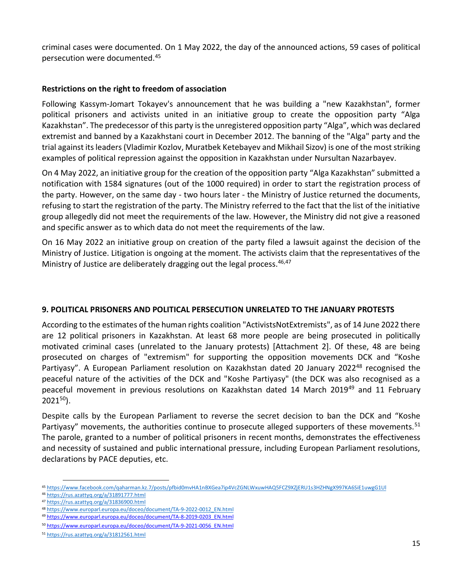criminal cases were documented. On 1 May 2022, the day of the announced actions, 59 cases of political persecution were documented. 45

## **Restrictions on the right to freedom of association**

Following Kassym-Jomart Tokayev's announcement that he was building a "new Kazakhstan", former political prisoners and activists united in an initiative group to create the opposition party "Alga Kazakhstan". The predecessor of this party is the unregistered opposition party "Alga", which was declared extremist and banned by a Kazakhstani court in December 2012. The banning of the "Alga" party and the trial against its leaders (Vladimir Kozlov, Muratbek Ketebayev and Mikhail Sizov) is one of the most striking examples of political repression against the opposition in Kazakhstan under Nursultan Nazarbayev.

On 4 May 2022, an initiative group for the creation of the opposition party "Alga Kazakhstan" submitted a notification with 1584 signatures (out of the 1000 required) in order to start the registration process of the party. However, on the same day - two hours later - the Ministry of Justice returned the documents, refusing to start the registration of the party. The Ministry referred to the fact that the list of the initiative group allegedly did not meet the requirements of the law. However, the Ministry did not give a reasoned and specific answer as to which data do not meet the requirements of the law.

On 16 May 2022 an initiative group on creation of the party filed a lawsuit against the decision of the Ministry of Justice. Litigation is ongoing at the moment. The activists claim that the representatives of the Ministry of Justice are deliberately dragging out the legal process.  $46,47$ 

## <span id="page-14-0"></span>**9. POLITICAL PRISONERS AND POLITICAL PERSECUTION UNRELATED TO THE JANUARY PROTESTS**

According to the estimates of the human rights coalition "ActivistsNotExtremists", as of 14 June 2022 there are 12 political prisoners in Kazakhstan. At least 68 more people are being prosecuted in politically motivated criminal cases (unrelated to the January protests) [Attachment 2]. Of these, 48 are being prosecuted on charges of "extremism" for supporting the opposition movements DCK and "Koshe Partiyasy". A European Parliament resolution on Kazakhstan dated 20 January 2022<sup>48</sup> recognised the peaceful nature of the activities of the DCK and "Koshe Partiyasy" (the DCK was also recognised as a peaceful movement in previous resolutions on Kazakhstan dated 14 March 2019<sup>49</sup> and 11 February  $2021^{50}$ ).

Despite calls by the European Parliament to reverse the secret decision to ban the DCK and "Koshe Partiyasy" movements, the authorities continue to prosecute alleged supporters of these movements.<sup>51</sup> The parole, granted to a number of political prisoners in recent months, demonstrates the effectiveness and necessity of sustained and public international pressure, including European Parliament resolutions, declarations by PACE deputies, etc.

<sup>45</sup> <https://www.facebook.com/qaharman.kz.7/posts/pfbid0mvHA1nBXGea7ip4VcZGNLWxuwHAQ5FCZ9XZjERU1s3HZHNgX997KA6SiE1uwgG1Ul>

<sup>46</sup> <https://rus.azattyq.org/a/31891777.html>

<sup>47</sup> <https://rus.azattyq.org/a/31836900.html>

<sup>48</sup> [https://www.europarl.europa.eu/doceo/document/TA-9-2022-0012\\_EN.html](https://www.europarl.europa.eu/doceo/document/TA-9-2022-0012_EN.html) <sup>49</sup> [https://www.europarl.europa.eu/doceo/document/TA-8-2019-0203\\_EN.html](https://www.europarl.europa.eu/doceo/document/TA-8-2019-0203_EN.html)

<sup>50</sup> [https://www.europarl.europa.eu/doceo/document/TA-9-2021-0056\\_EN.html](https://www.europarl.europa.eu/doceo/document/TA-9-2021-0056_EN.html)

<sup>51</sup> <https://rus.azattyq.org/a/31812561.html>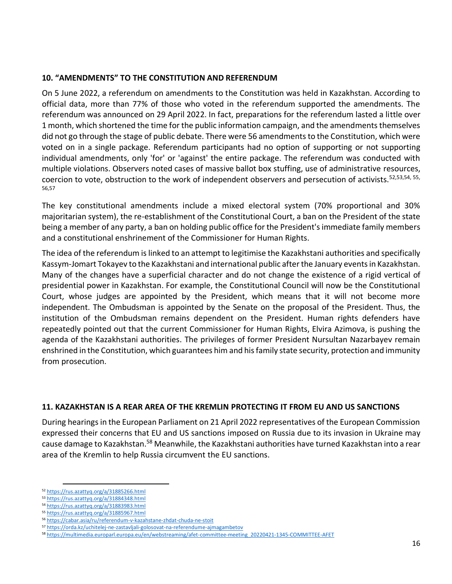## <span id="page-15-0"></span>**10. "AMENDMENTS" TO THE CONSTITUTION AND REFERENDUM**

On 5 June 2022, a referendum on amendments to the Constitution was held in Kazakhstan. According to official data, more than 77% of those who voted in the referendum supported the amendments. The referendum was announced on 29 April 2022. In fact, preparations for the referendum lasted a little over 1 month, which shortened the time for the public information campaign, and the amendments themselves did not go through the stage of public debate. There were 56 amendments to the Constitution, which were voted on in a single package. Referendum participants had no option of supporting or not supporting individual amendments, only 'for' or 'against' the entire package. The referendum was conducted with multiple violations. Observers noted cases of massive ballot box stuffing, use of administrative resources, coercion to vote, obstruction to the work of independent observers and persecution of activists.<sup>52,53,54, 55,</sup> 56,57

The key constitutional amendments include a mixed electoral system (70% proportional and 30% majoritarian system), the re-establishment of the Constitutional Court, a ban on the President of the state being a member of any party, a ban on holding public office for the President's immediate family members and a constitutional enshrinement of the Commissioner for Human Rights.

The idea of the referendum is linked to an attempt to legitimise the Kazakhstani authorities and specifically Kassym-Jomart Tokayev to the Kazakhstani and international public after the January events in Kazakhstan. Many of the changes have a superficial character and do not change the existence of a rigid vertical of presidential power in Kazakhstan. For example, the Constitutional Council will now be the Constitutional Court, whose judges are appointed by the President, which means that it will not become more independent. The Ombudsman is appointed by the Senate on the proposal of the President. Thus, the institution of the Ombudsman remains dependent on the President. Human rights defenders have repeatedly pointed out that the current Commissioner for Human Rights, Elvira Azimova, is pushing the agenda of the Kazakhstani authorities. The privileges of former President Nursultan Nazarbayev remain enshrined in the Constitution, which guarantees him and his family state security, protection and immunity from prosecution.

## <span id="page-15-1"></span>**11. KAZAKHSTAN IS A REAR AREA OF THE KREMLIN PROTECTING IT FROM EU AND US SANCTIONS**

During hearings in the European Parliament on 21 April 2022 representatives of the European Commission expressed their concerns that EU and US sanctions imposed on Russia due to its invasion in Ukraine may cause damage to Kazakhstan.<sup>58</sup> Meanwhile, the Kazakhstani authorities have turned Kazakhstan into a rear area of the Kremlin to help Russia circumvent the EU sanctions.

<sup>52</sup> <https://rus.azattyq.org/a/31885266.html>

<sup>53</sup> <https://rus.azattyq.org/a/31884348.html>

<sup>54</sup> <https://rus.azattyq.org/a/31883983.html>

<sup>55</sup> <https://rus.azattyq.org/a/31885967.html>

<sup>56</sup> <https://cabar.asia/ru/referendum-v-kazahstane-zhdat-chuda-ne-stoit>

<sup>57</sup> <https://orda.kz/uchitelej-ne-zastavljali-golosovat-na-referendume-ajmagambetov>

<sup>58</sup> [https://multimedia.europarl.europa.eu/en/webstreaming/afet-committee-meeting\\_20220421-1345-COMMITTEE-AFET](https://multimedia.europarl.europa.eu/en/webstreaming/afet-committee-meeting_20220421-1345-COMMITTEE-AFET)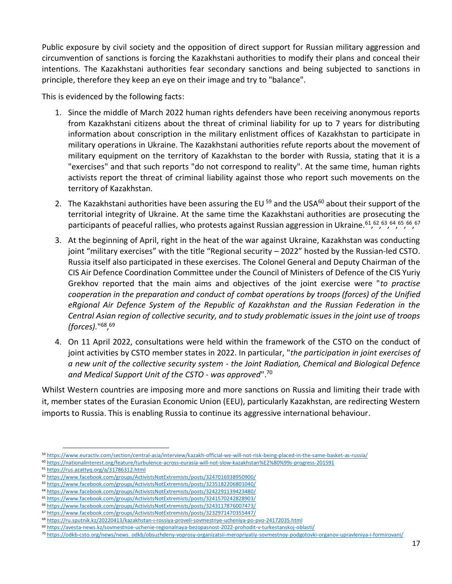Public exposure by civil society and the opposition of direct support for Russian military aggression and circumvention of sanctions is forcing the Kazakhstani authorities to modify their plans and conceal their intentions. The Kazakhstani authorities fear secondary sanctions and being subjected to sanctions in principle, therefore they keep an eye on their image and try to "balance".

This is evidenced by the following facts:

- 1. Since the middle of March 2022 human rights defenders have been receiving anonymous reports from Kazakhstani citizens about the threat of criminal liability for up to 7 years for distributing information about conscription in the military enlistment offices of Kazakhstan to participate in military operations in Ukraine. The Kazakhstani authorities refute reports about the movement of military equipment on the territory of Kazakhstan to the border with Russia, stating that it is a "exercises" and that such reports "do not correspond to reality". At the same time, human rights activists report the threat of criminal liability against those who report such movements on the territory of Kazakhstan.
- 2. The Kazakhstani authorities have been assuring the EU  $^{59}$  and the USA $^{60}$  about their support of the territorial integrity of Ukraine. At the same time the Kazakhstani authorities are prosecuting the participants of peaceful rallies, who protests against Russian aggression in Ukraine.<sup>61</sup>,<sup>62</sup>,<sup>63</sup>,<sup>64</sup>,<sup>65</sup>,66,<sup>67</sup>
- 3. At the beginning of April, right in the heat of the war against Ukraine, Kazakhstan was conducting joint "military exercises" with the title "Regional security – 2022" hosted by the Russian-led CSTO. Russia itself also participated in these exercises. The Colonel General and Deputy Chairman of the CIS Air Defence Coordination Committee under the Council of Ministers of Defence of the CIS Yuriy Grekhov reported that the main aims and objectives of the joint exercise were "*to practise cooperation in the preparation and conduct of combat operations by troops (forces) of the Unified eRgional Air Defence System of the Republic of Kazakhstan and the Russian Federation in the Central Asian region of collective security, and to study problematic issues in the joint use of troops (forces).*" 68 , 69
- 4. On 11 April 2022, consultations were held within the framework of the CSTO on the conduct of joint activities by CSTO member states in 2022. In particular, "*the participation in joint exercises of a new unit of the collective security system - the Joint Radiation, Chemical and Biological Defence and Medical Support Unit of the CSTO - was approved*".<sup>70</sup>

Whilst Western countries are imposing more and more sanctions on Russia and limiting their trade with it, member states of the Eurasian Economic Union (EEU), particularly Kazakhstan, are redirecting Western imports to Russia. This is enabling Russia to continue its aggressive international behaviour.

<sup>61</sup> <https://rus.azattyq.org/a/31786312.html>

<sup>59</sup> <https://www.euractiv.com/section/central-asia/interview/kazakh-official-we-will-not-risk-being-placed-in-the-same-basket-as-russia/>

<sup>60</sup> <https://nationalinterest.org/feature/turbulence-across-eurasia-will-not-slow-kazakhstan%E2%80%99s-progress-201591>

<sup>62</sup> <https://www.facebook.com/groups/ActivistsNotExtremists/posts/3247016938950900/>

<sup>63</sup> <https://www.facebook.com/groups/ActivistsNotExtremists/posts/3235182206801040/>

<sup>64</sup> <https://www.facebook.com/groups/ActivistsNotExtremists/posts/3242291139423480/>

<sup>65</sup> <https://www.facebook.com/groups/ActivistsNotExtremists/posts/3241570242828903/>

<sup>66</sup> <https://www.facebook.com/groups/ActivistsNotExtremists/posts/3243117876007473/>

<sup>67</sup> <https://www.facebook.com/groups/ActivistsNotExtremists/posts/3232971470355447/>

<sup>68</sup> <https://ru.sputnik.kz/20220413/kazakhstan-i-rossiya-proveli-sovmestnye-ucheniya-po-pvo-24172035.html>

<sup>69</sup> <https://avesta-news.kz/sovmestnoe-uchenie-regionalnaya-bezopasnost-2022-prohodit-v-turkestanskoj-oblasti/>

<sup>70</sup> [https://odkb-csto.org/news/news\\_odkb/obsuzhdeny-voprosy-organizatsii-meropriyatiy-sovmestnoy-podgotovki-organov-upravleniya-i-formirovani/](https://odkb-csto.org/news/news_odkb/obsuzhdeny-voprosy-organizatsii-meropriyatiy-sovmestnoy-podgotovki-organov-upravleniya-i-formirovani/)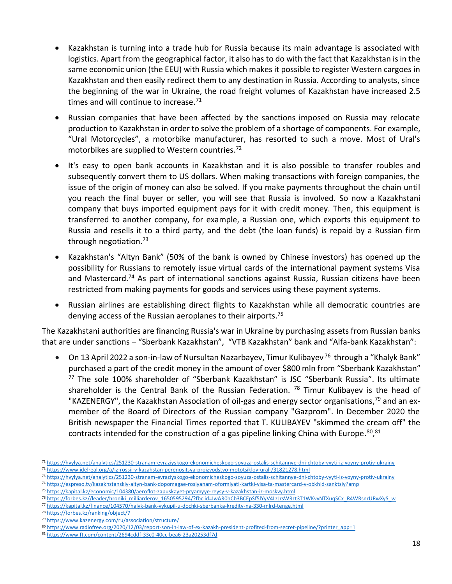- Kazakhstan is turning into a trade hub for Russia because its main advantage is associated with logistics. Apart from the geographical factor, it also has to do with the fact that Kazakhstan is in the same economic union (the EEU) with Russia which makes it possible to register Western cargoes in Kazakhstan and then easily redirect them to any destination in Russia. According to analysts, since the beginning of the war in Ukraine, the road freight volumes of Kazakhstan have increased 2.5 times and will continue to increase.<sup>71</sup>
- Russian companies that have been affected by the sanctions imposed on Russia may relocate production to Kazakhstan in order to solve the problem of a shortage of components. For example, "Ural Motorcycles", a motorbike manufacturer, has resorted to such a move. Most of Ural's motorbikes are supplied to Western countries. 72
- It's easy to open bank accounts in Kazakhstan and it is also possible to transfer roubles and subsequently convert them to US dollars. When making transactions with foreign companies, the issue of the origin of money can also be solved. If you make payments throughout the chain until you reach the final buyer or seller, you will see that Russia is involved. So now a Kazakhstani company that buys imported equipment pays for it with credit money. Then, this equipment is transferred to another company, for example, a Russian one, which exports this equipment to Russia and resells it to a third party, and the debt (the loan funds) is repaid by a Russian firm through negotiation.<sup>73</sup>
- Kazakhstan's "Altyn Bank" (50% of the bank is owned by Chinese investors) has opened up the possibility for Russians to remotely issue virtual cards of the international payment systems Visa and Mastercard.<sup>74</sup> As part of international sanctions against Russia, Russian citizens have been restricted from making payments for goods and services using these payment systems.
- Russian airlines are establishing direct flights to Kazakhstan while all democratic countries are denying access of the Russian aeroplanes to their airports. 75

The Kazakhstani authorities are financing Russia's war in Ukraine by purchasing assets from Russian banks that are under sanctions – "Sberbank Kazakhstan", "VTB Kazakhstan" bank and "Alfa-bank Kazakhstan":

• On 13 April 2022 a son-in-law of Nursultan Nazarbayev, Timur Kulibayev<sup>76</sup> through a "Khalyk Bank" purchased a part of the credit money in the amount of over \$800 mln from "Sberbank Kazakhstan" <sup>77</sup> The sole 100% shareholder of "Sberbank Kazakhstan" is JSC "Sberbank Russia". Its ultimate shareholder is the Central Bank of the Russian Federation.  $^{78}$  Timur Kulibayev is the head of "KAZENERGY", the Kazakhstan Association of oil-gas and energy sector organisations,<sup>79</sup> and an exmember of the Board of Directors of the Russian company "Gazprom". In December 2020 the British newspaper the Financial Times reported that T. KULIBAYEV "skimmed the cream off" the contracts intended for the construction of a gas pipeline linking China with Europe.<sup>80</sup>,<sup>81</sup>

<sup>74</sup> <https://espreso.tv/kazakhstanskiy-altyn-bank-dopomagae-rosiyanam-oformlyati-kartki-visa-ta-mastercard-v-obkhid-sanktsiy?amp>

<sup>&</sup>lt;sup>71</sup> <https://hvylya.net/analytics/251230-stranam-evraziyskogo-ekonomicheskogo-soyuza-ostalis-schitannye-dni-chtoby-vyyti-iz-voyny-protiv-ukrainy>

<sup>72</sup> <https://www.idelreal.org/a/iz-rossii-v-kazahstan-perenositsya-proizvodstvo-mototsiklov-ural-/31821278.html>

<sup>73</sup> <https://hvylya.net/analytics/251230-stranam-evraziyskogo-ekonomicheskogo-soyuza-ostalis-schitannye-dni-chtoby-vyyti-iz-voyny-protiv-ukrainy>

<sup>75</sup> <https://kapital.kz/economic/104380/aeroflot-zapuskayet-pryamyye-reysy-v-kazakhstan-iz-moskvy.html>

<sup>&</sup>lt;sup>76</sup> [https://forbes.kz//leader/hroniki\\_milliarderov\\_1650595294/?fbclid=IwAR0hCb3BCEpSf5lYyV4LzJrsWRzt3T1WKvvNTXuqSCx\\_R4WRsnrURwXyS\\_w](https://forbes.kz/leader/hroniki_milliarderov_1650595294/?fbclid=IwAR0hCb3BCEpSf5lYyV4LzJrsWRzt3T1WKvvNTXuqSCx_R4WRsnrURwXyS_w)

<sup>77</sup> <https://kapital.kz/finance/104570/halyk-bank-vykupil-u-dochki-sberbanka-kredity-na-330-mlrd-tenge.html>

<sup>78</sup> https://forbes.kz/ranking/object/7

<sup>79</sup> https://www.kazenergy.com/ru/association/structure/

<sup>80</sup> [https://www.radiofree.org/2020/12/03/report-son-in-law-of-ex-kazakh-president-profited-from-secret-pipeline/?printer\\_app=1](https://www.radiofree.org/2020/12/03/report-son-in-law-of-ex-kazakh-president-profited-from-secret-pipeline/?printer_app=1)

<sup>81</sup> <https://www.ft.com/content/2694cddf-33c0-40cc-bea6-23a20253df7d>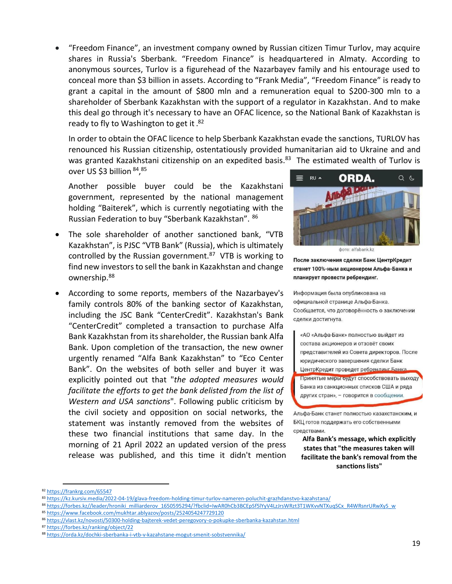• "Freedom Finance", an investment company owned by Russian citizen Timur Turlov, may acquire shares in Russia's Sberbank. "Freedom Finance" is headquartered in Almaty. According to anonymous sources, Turlov is a figurehead of the Nazarbayev family and his entourage used to conceal more than \$3 billion in assets. According to "Frank Media", "Freedom Finance" is ready to grant a capital in the amount of \$800 mln and a remuneration equal to \$200-300 mln to a shareholder of Sberbank Kazakhstan with the support of a regulator in Kazakhstan. And to make this deal go through it's necessary to have an OFAC licence, so the National Bank of Kazakhstan is ready to fly to Washington to get it.<sup>82</sup>

In order to obtain the OFAC licence to help Sberbank Kazakhstan evade the sanctions, TURLOV has renounced his Russian citizenship, ostentatiously provided humanitarian aid to Ukraine and and was granted Kazakhstani citizenship on an expedited basis.<sup>83</sup> The estimated wealth of Turlov is over US \$3 billion 84,85

Another possible buyer could be the Kazakhstani government, represented by the national management holding "Baiterek", which is currently negotiating with the Russian Federation to buy "Sberbank Kazakhstan". <sup>86</sup>

- The sole shareholder of another sanctioned bank, "VTB Kazakhstan", is PJSC "VTB Bank" (Russia), which is ultimately controlled by the Russian government.<sup>87</sup> VTB is working to find new investors to sell the bank in Kazakhstan and change ownership.<sup>88</sup>
- According to some reports, members of the Nazarbayev's family controls 80% of the banking sector of Kazakhstan, including the JSC Bank "CenterCredit". Kazakhstan's Bank "CenterCredit" completed a transaction to purchase Alfa Bank Kazakhstan from its shareholder, the Russian bank Alfa Bank. Upon completion of the transaction, the new owner urgently renamed "Alfa Bank Kazakhstan" to "Eco Center Bank". On the websites of both seller and buyer it was explicitly pointed out that "*the adopted measures would facilitate the efforts to get the bank delisted from the list of Western and USA sanctions*". Following public criticism by the civil society and opposition on social networks, the statement was instantly removed from the websites of these two financial institutions that same day. In the morning of 21 April 2022 an updated version of the press release was published, and this time it didn't mention



фото: alfabank.kz

После заключения сделки Банк ЦентрКредит станет 100%-ным акционером Альфа-Банка и планирует провести ребрендинг.

Информация была опубликована на официальной странице Альфа-Банка. Сообщается, что договорённость о заключении сделки достигнута.

«АО «Альфа-Банк» полностью выйдет из состава акционеров и отзовёт своих представителей из Совета директоров. После юридического завершения сделки Банк ЦентрКредит проведет ребренлинг Банка Принятые меры оудут способствовать выходу Банка из санкционных списков США и ряда других стран», - говорится в сообщении.

Альфа-Банк станет полностью казахстанским, и БКЦ готов поддержать его собственными средствами.

**Alfa Bank's message, which explicitly states that "the measures taken will facilitate the bank's removal from the sanctions lists"**

<sup>82</sup> <https://frankrg.com/65547>

<sup>83</sup> <https://kz.kursiv.media/2022-04-19/glava-freedom-holding-timur-turlov-nameren-poluchit-grazhdanstvo-kazahstana/>

<sup>84</sup> [https://forbes.kz//leader/hroniki\\_milliarderov\\_1650595294/?fbclid=IwAR0hCb3BCEpSf5lYyV4LzJrsWRzt3T1WKvvNTXuqSCx\\_R4WRsnrURwXyS\\_w](https://forbes.kz/leader/hroniki_milliarderov_1650595294/?fbclid=IwAR0hCb3BCEpSf5lYyV4LzJrsWRzt3T1WKvvNTXuqSCx_R4WRsnrURwXyS_w) <sup>85</sup> <https://www.facebook.com/mukhtar.ablyazov/posts/2524054247729120>

<sup>86</sup> https://vlast.kz/novosti/50300-holding-bajterek-vedet-peregovory-o-pokupke-sberbanka-kazahstan.html

<sup>87</sup> <https://forbes.kz/ranking/object/22>

<sup>88</sup> https://orda.kz/dochki-sberbanka-i-vtb-v-kazahstane-mogut-smenit-sobstvennika/